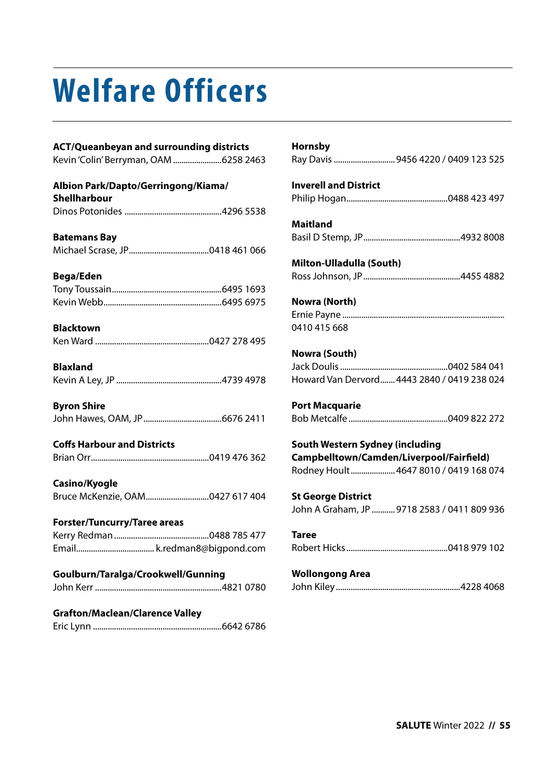# **Welfare Officers**

#### **ACT/Queanbeyan and surrounding districts**

Kevin 'Colin' Berryman, OAM .......................6258 2463

#### **Albion Park/Dapto/Gerringong/Kiama/ Shellharbour**  Dinos Potonides ..............................................4296 5538

**Batemans Bay**  Michael Scrase, JP......................................0418 461 066

#### **Bega/Eden**

#### **Blacktown**

|--|

**Blaxland**  Kevin A Ley, JP ..................................................4739 4978

#### **Byron Shire**  John Hawes, OAM, JP.....................................6676 2411

#### **Coffs Harbour and Districts**

#### **Casino/Kyogle**

#### **Forster/Tuncurry/Taree areas**

#### **Goulburn/Taralga/Crookwell/Gunning**

|--|--|

#### **Grafton/Maclean/Clarence Valley**

Eric Lynn .............................................................6642 6786

| Hornsby                                     |
|---------------------------------------------|
|                                             |
|                                             |
| <b>Inverell and District</b>                |
|                                             |
|                                             |
| <b>Maitland</b>                             |
|                                             |
|                                             |
| Milton-Ulladulla (South)                    |
|                                             |
|                                             |
| Nowra (North)                               |
|                                             |
| 0410 415 668                                |
|                                             |
| Nowra (South)                               |
|                                             |
| Howard Van Dervord 4443 2840 / 0419 238 024 |
|                                             |
| <b>Port Macquarie</b>                       |
|                                             |
|                                             |
| <b>South Western Sydney (including</b>      |
| Campbelltown/Camden/Liverpool/Fairfield)    |
| Rodney Hoult 4647 8010 / 0419 168 074       |
|                                             |
| <b>St George District</b>                   |
|                                             |

John A Graham, JP ........... 9718 2583 / 0411 809 936

#### **Taree**  Robert Hicks................................................0418 979 102

#### **Wollongong Area**

|--|--|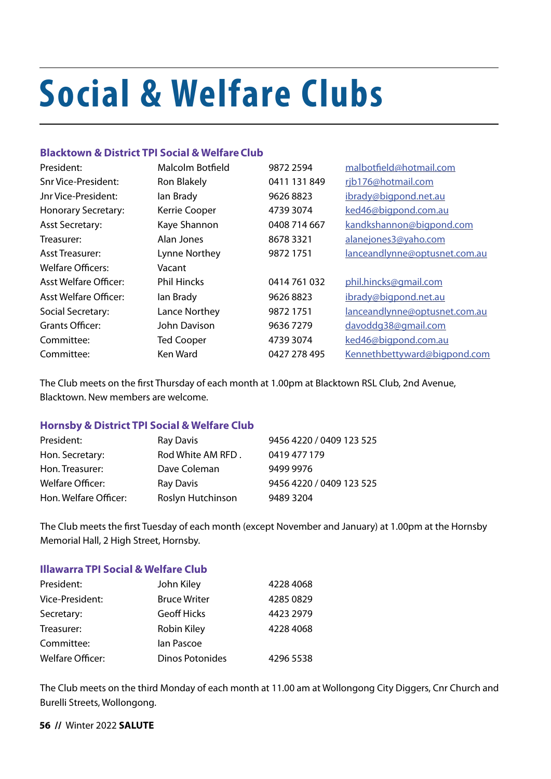# **Social & Welfare Clubs**

#### **Blacktown & District TPI Social & Welfare Club**

| President:                 | Malcolm Botfield   | 9872 2594    | malbotfield@hotmail.com       |
|----------------------------|--------------------|--------------|-------------------------------|
| <b>Snr Vice-President:</b> | Ron Blakely        | 0411 131 849 | rjb176@hotmail.com            |
| Jnr Vice-President:        | lan Brady          | 96268823     | ibrady@bigpond.net.au         |
| <b>Honorary Secretary:</b> | Kerrie Cooper      | 4739 3074    | ked46@bigpond.com.au          |
| <b>Asst Secretary:</b>     | Kaye Shannon       | 0408 714 667 | kandkshannon@bigpond.com      |
| Treasurer:                 | Alan Jones         | 8678 3321    | alanejones3@yaho.com          |
| <b>Asst Treasurer:</b>     | Lynne Northey      | 9872 1751    | lanceandlynne@optusnet.com.au |
| Welfare Officers:          | Vacant             |              |                               |
| Asst Welfare Officer:      | <b>Phil Hincks</b> | 0414761032   | phil.hincks@gmail.com         |
| Asst Welfare Officer:      | lan Brady          | 96268823     | ibrady@bigpond.net.au         |
| Social Secretary:          | Lance Northey      | 9872 1751    | lanceandlynne@optusnet.com.au |
| Grants Officer:            | John Davison       | 96367279     | davoddg38@gmail.com           |
| Committee:                 | <b>Ted Cooper</b>  | 4739 3074    | ked46@bigpond.com.au          |
| Committee:                 | Ken Ward           | 0427 278 495 | Kennethbettyward@bigpond.com  |

The Club meets on the first Thursday of each month at 1.00pm at Blacktown RSL Club, 2nd Avenue, Blacktown. New members are welcome.

#### **Hornsby & District TPI Social & Welfare Club**

| President:              | Ray Davis         | 9456 4220 / 0409 123 525 |
|-------------------------|-------------------|--------------------------|
| Hon. Secretary:         | Rod White AM RFD. | 0419 477 179             |
| Hon. Treasurer:         | Dave Coleman      | 9499 9976                |
| <b>Welfare Officer:</b> | Ray Davis         | 9456 4220 / 0409 123 525 |
| Hon. Welfare Officer:   | Roslyn Hutchinson | 9489 3204                |

The Club meets the first Tuesday of each month (except November and January) at 1.00pm at the Hornsby Memorial Hall, 2 High Street, Hornsby.

#### **Illawarra TPI Social & Welfare Club**

| President:       | John Kiley          | 4228 4068 |
|------------------|---------------------|-----------|
| Vice-President:  | <b>Bruce Writer</b> | 4285 0829 |
| Secretary:       | <b>Geoff Hicks</b>  | 4423 2979 |
| Treasurer:       | <b>Robin Kiley</b>  | 4228 4068 |
| Committee:       | lan Pascoe          |           |
| Welfare Officer: | Dinos Potonides     | 4296 5538 |

The Club meets on the third Monday of each month at 11.00 am at Wollongong City Diggers, Cnr Church and Burelli Streets, Wollongong.

**56 //** Winter 2022 **SALUTE**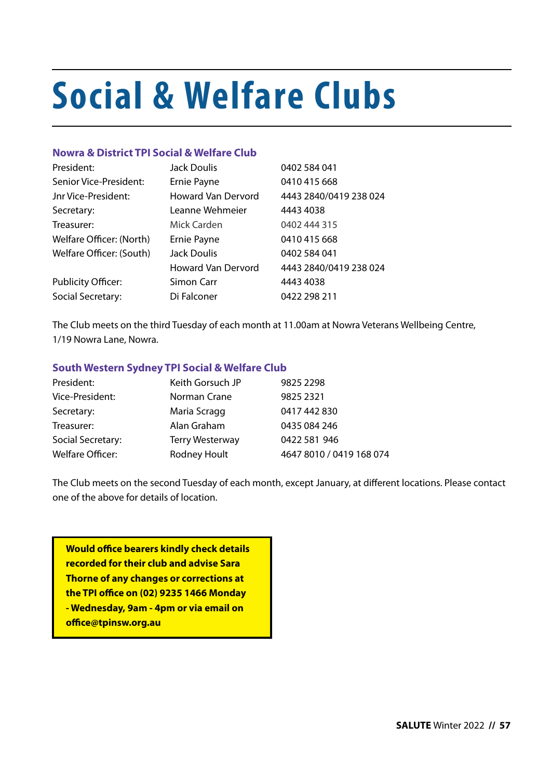# **Social & Welfare Clubs**

#### **Nowra & District TPI Social & Welfare Club**

| President:                | Jack Doulis               | 0402 584 041           |
|---------------------------|---------------------------|------------------------|
| Senior Vice-President:    | Ernie Payne               | 0410 415 668           |
| Jnr Vice-President:       | <b>Howard Van Dervord</b> | 4443 2840/0419 238 024 |
| Secretary:                | Leanne Wehmeier           | 4443 4038              |
| Treasurer:                | Mick Carden               | 0402 444 315           |
| Welfare Officer: (North)  | Ernie Payne               | 0410 415 668           |
| Welfare Officer: (South)  | Jack Doulis               | 0402 584 041           |
|                           | <b>Howard Van Dervord</b> | 4443 2840/0419 238 024 |
| <b>Publicity Officer:</b> | Simon Carr                | 4443 4038              |
| Social Secretary:         | Di Falconer               | 0422 298 211           |

The Club meets on the third Tuesday of each month at 11.00am at Nowra Veterans Wellbeing Centre, 1/19 Nowra Lane, Nowra.

#### **South Western Sydney TPI Social & Welfare Club**

| President:              | Keith Gorsuch JP       | 9825 2298                |
|-------------------------|------------------------|--------------------------|
| Vice-President:         | Norman Crane           | 9825 2321                |
| Secretary:              | Maria Scragg           | 0417 442 830             |
| Treasurer:              | Alan Graham            | 0435 084 246             |
| Social Secretary:       | <b>Terry Westerway</b> | 0422 581 946             |
| <b>Welfare Officer:</b> | <b>Rodney Hoult</b>    | 4647 8010 / 0419 168 074 |

The Club meets on the second Tuesday of each month, except January, at different locations. Please contact one of the above for details of location.

**Would office bearers kindly check details recorded for their club and advise Sara Thorne of any changes or corrections at the TPI office on (02) 9235 1466 Monday - Wednesday, 9am - 4pm or via email on office@tpinsw.org.au**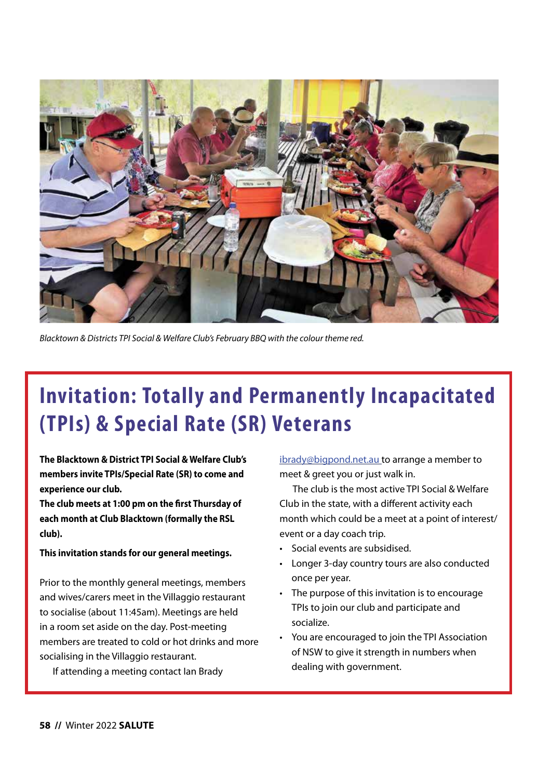

*Blacktown & Districts TPI Social & Welfare Club's February BBQ with the colour theme red.*

# **Invitation: Totally and Permanently Incapacitated (TPIs) & Special Rate (SR) Veterans**

**The Blacktown & District TPI Social & Welfare Club's members invite TPIs/Special Rate (SR) to come and experience our club.**

**The club meets at 1:00 pm on the first Thursday of each month at Club Blacktown (formally the RSL club).**

#### **This invitation stands for our general meetings.**

Prior to the monthly general meetings, members and wives/carers meet in the Villaggio restaurant to socialise (about 11:45am). Meetings are held in a room set aside on the day. Post-meeting members are treated to cold or hot drinks and more socialising in the Villaggio restaurant.

If attending a meeting contact Ian Brady

[ibrady@bigpond.net.au](mailto:ibrady@bigpond.net.au) to arrange a member to meet & greet you or just walk in.

The club is the most active TPI Social & Welfare Club in the state, with a different activity each month which could be a meet at a point of interest/ event or a day coach trip.

- Social events are subsidised.
- Longer 3-day country tours are also conducted once per year.
- The purpose of this invitation is to encourage TPIs to join our club and participate and socialize.
- You are encouraged to join the TPI Association of NSW to give it strength in numbers when dealing with government.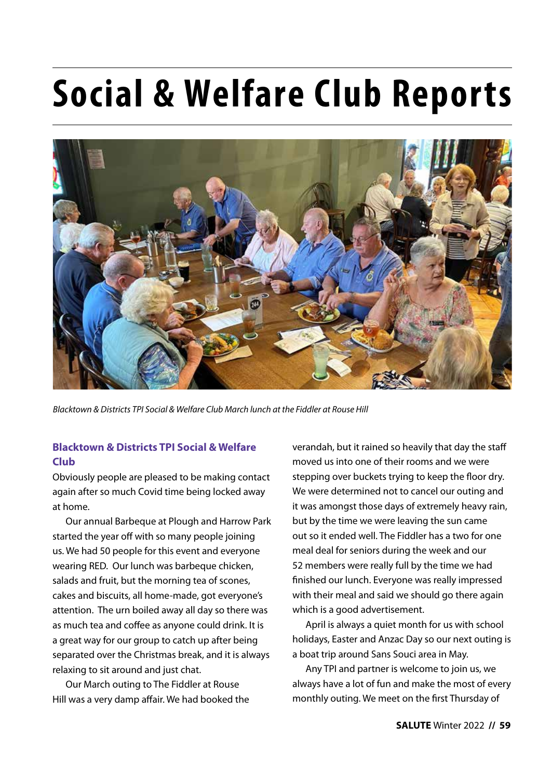# **Social & Welfare Club Reports**



*Blacktown & Districts TPI Social & Welfare Club March lunch at the Fiddler at Rouse Hill* 

### **Blacktown & Districts TPI Social & Welfare Club**

Obviously people are pleased to be making contact again after so much Covid time being locked away at home.

Our annual Barbeque at Plough and Harrow Park started the year off with so many people joining us. We had 50 people for this event and everyone wearing RED. Our lunch was barbeque chicken, salads and fruit, but the morning tea of scones, cakes and biscuits, all home-made, got everyone's attention. The urn boiled away all day so there was as much tea and coffee as anyone could drink. It is a great way for our group to catch up after being separated over the Christmas break, and it is always relaxing to sit around and just chat.

Our March outing to The Fiddler at Rouse Hill was a very damp affair. We had booked the verandah, but it rained so heavily that day the staff moved us into one of their rooms and we were stepping over buckets trying to keep the floor dry. We were determined not to cancel our outing and it was amongst those days of extremely heavy rain, but by the time we were leaving the sun came out so it ended well. The Fiddler has a two for one meal deal for seniors during the week and our 52 members were really full by the time we had finished our lunch. Everyone was really impressed with their meal and said we should go there again which is a good advertisement.

April is always a quiet month for us with school holidays, Easter and Anzac Day so our next outing is a boat trip around Sans Souci area in May.

Any TPI and partner is welcome to join us, we always have a lot of fun and make the most of every monthly outing. We meet on the first Thursday of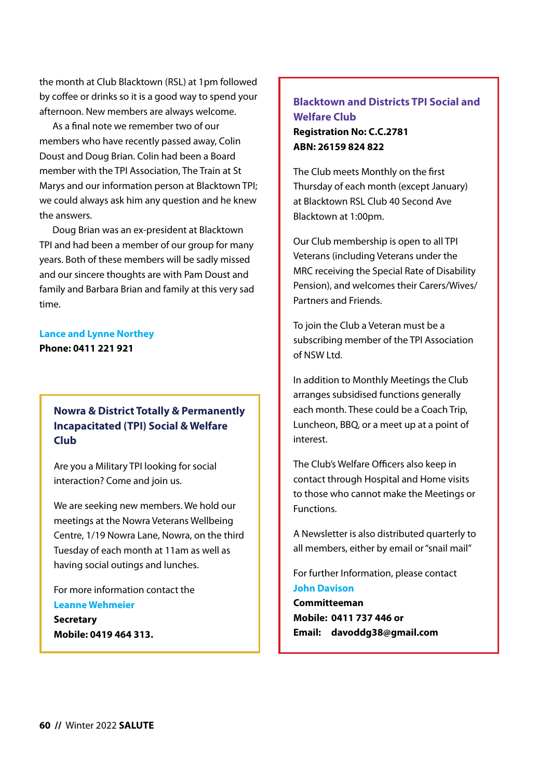the month at Club Blacktown (RSL) at 1pm followed by coffee or drinks so it is a good way to spend your afternoon. New members are always welcome.

As a final note we remember two of our members who have recently passed away, Colin Doust and Doug Brian. Colin had been a Board member with the TPI Association, The Train at St Marys and our information person at Blacktown TPI; we could always ask him any question and he knew the answers.

Doug Brian was an ex-president at Blacktown TPI and had been a member of our group for many years. Both of these members will be sadly missed and our sincere thoughts are with Pam Doust and family and Barbara Brian and family at this very sad time.

## **Lance and Lynne Northey**

**Phone: 0411 221 921**

### **Nowra & District Totally & Permanently Incapacitated (TPI) Social & Welfare Club**

Are you a Military TPI looking for social interaction? Come and join us.

We are seeking new members. We hold our meetings at the Nowra Veterans Wellbeing Centre, 1/19 Nowra Lane, Nowra, on the third Tuesday of each month at 11am as well as having social outings and lunches.

For more information contact the **Leanne Wehmeier Secretary Mobile: 0419 464 313.**

### **Blacktown and Districts TPI Social and Welfare Club Registration No: C.C.2781 ABN: 26159 824 822**

The Club meets Monthly on the first Thursday of each month (except January) at Blacktown RSL Club 40 Second Ave Blacktown at 1:00pm.

Our Club membership is open to all TPI Veterans (including Veterans under the MRC receiving the Special Rate of Disability Pension), and welcomes their Carers/Wives/ Partners and Friends.

To join the Club a Veteran must be a subscribing member of the TPI Association of NSW Ltd.

In addition to Monthly Meetings the Club arranges subsidised functions generally each month. These could be a Coach Trip, Luncheon, BBQ, or a meet up at a point of interest.

The Club's Welfare Officers also keep in contact through Hospital and Home visits to those who cannot make the Meetings or Functions.

A Newsletter is also distributed quarterly to all members, either by email or "snail mail"

For further Information, please contact **John Davison**

**Committeeman Mobile: 0411 737 446 or Email: davoddg38@gmail.com**